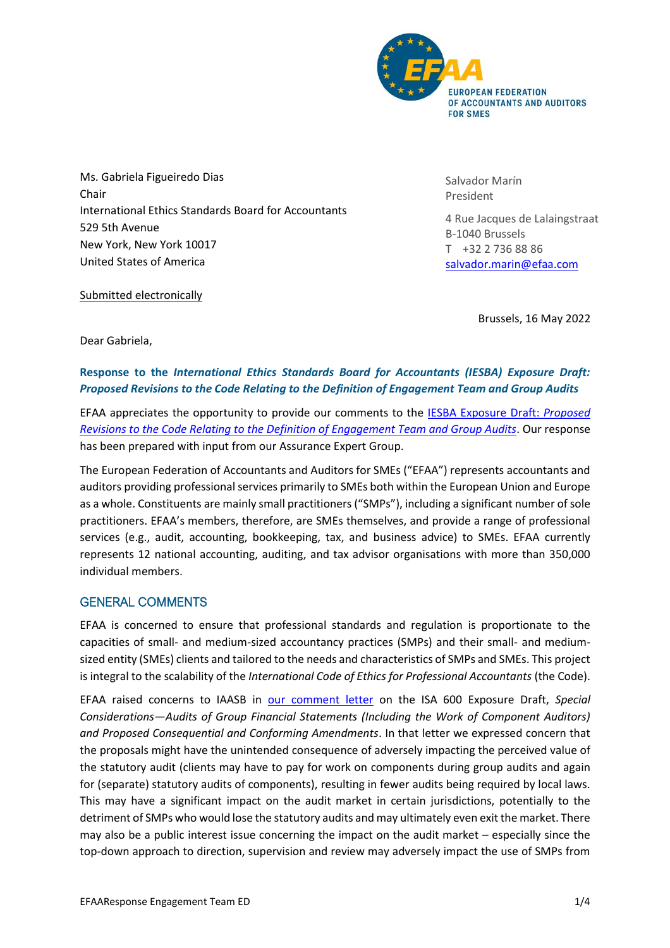

Ms. Gabriela Figueiredo Dias Chair International Ethics Standards Board for Accountants 529 5th Avenue New York, New York 10017 United States of America

Salvador Marín President

4 Rue Jacques de Lalaingstraat B-1040 Brussels T +32 2 736 88 86 [salvador.marin@efaa.com](mailto:salvador.marin@efaa.com)

Submitted electronically

Brussels, 16 May 2022

Dear Gabriela,

## **Response to the** *International Ethics Standards Board for Accountants (IESBA) Exposure Draft: Proposed Revisions to the Code Relating to the Definition of Engagement Team and Group Audits*

EFAA appreciates the opportunity to provide our comments to the [IESBA Exposure Draft:](https://www.ethicsboard.org/publications/proposed-revisions-definitions-listed-entity-and-public-interest-entity-code) *Proposed [Revisions to the Code Relating to the Definition of Engagement Team and Group Audits](https://www.ethicsboard.org/publications/proposed-revisions-definitions-listed-entity-and-public-interest-entity-code)*. Our response has been prepared with input from our Assurance Expert Group.

The European Federation of Accountants and Auditors for SMEs ("EFAA") represents accountants and auditors providing professional services primarily to SMEs both within the European Union and Europe as a whole. Constituents are mainly small practitioners ("SMPs"), including a significant number of sole practitioners. EFAA's members, therefore, are SMEs themselves, and provide a range of professional services (e.g., audit, accounting, bookkeeping, tax, and business advice) to SMEs. EFAA currently represents 12 national accounting, auditing, and tax advisor organisations with more than 350,000 individual members.

## GENERAL COMMENTS

EFAA is concerned to ensure that professional standards and regulation is proportionate to the capacities of small- and medium-sized accountancy practices (SMPs) and their small- and mediumsized entity (SMEs) clients and tailored to the needs and characteristics of SMPs and SMEs. This project is integral to the scalability of the *International Code of Ethics for Professional Accountants* (the Code).

EFAA raised concerns to IAASB in [our comment letter](https://efaa.com/wp-content/uploads/2021/06/20200928_EFAA_Response_ED-ISA600-FINAL.pdf) on the ISA 600 Exposure Draft, *Special Considerations—Audits of Group Financial Statements (Including the Work of Component Auditors) and Proposed Consequential and Conforming Amendments*. In that letter we expressed concern that the proposals might have the unintended consequence of adversely impacting the perceived value of the statutory audit (clients may have to pay for work on components during group audits and again for (separate) statutory audits of components), resulting in fewer audits being required by local laws. This may have a significant impact on the audit market in certain jurisdictions, potentially to the detriment of SMPs who would lose the statutory audits and may ultimately even exit the market. There may also be a public interest issue concerning the impact on the audit market – especially since the top-down approach to direction, supervision and review may adversely impact the use of SMPs from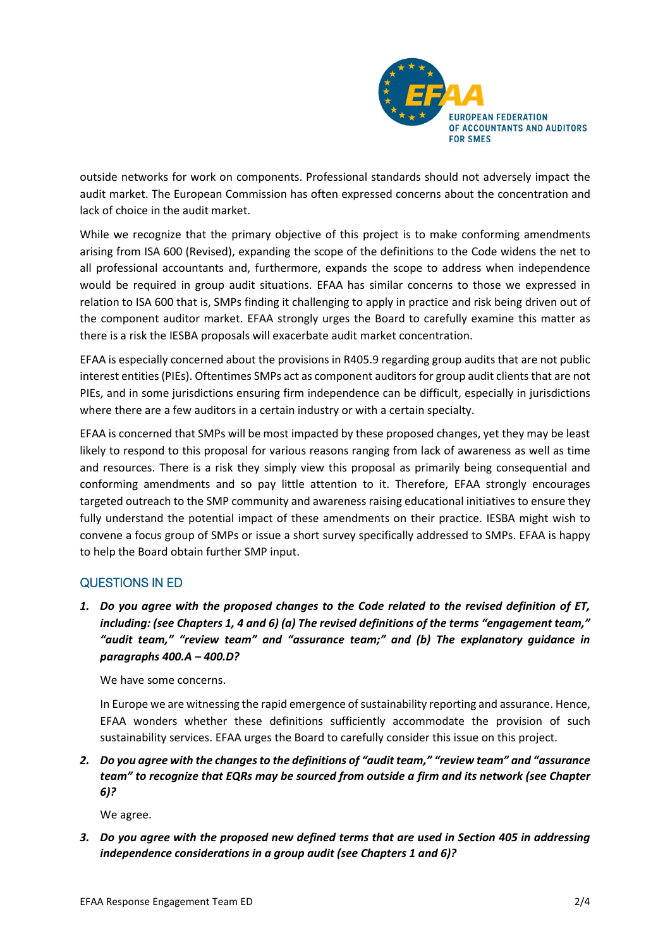

outside networks for work on components. Professional standards should not adversely impact the audit market. The European Commission has often expressed concerns about the concentration and lack of choice in the audit market.

While we recognize that the primary objective of this project is to make conforming amendments arising from ISA 600 (Revised), expanding the scope of the definitions to the Code widens the net to all professional accountants and, furthermore, expands the scope to address when independence would be required in group audit situations. EFAA has similar concerns to those we expressed in relation to ISA 600 that is, SMPs finding it challenging to apply in practice and risk being driven out of the component auditor market. EFAA strongly urges the Board to carefully examine this matter as there is a risk the IESBA proposals will exacerbate audit market concentration.

EFAA is especially concerned about the provisions in R405.9 regarding group audits that are not public interest entities (PIEs). Oftentimes SMPs act as component auditors for group audit clients that are not PIEs, and in some jurisdictions ensuring firm independence can be difficult, especially in jurisdictions where there are a few auditors in a certain industry or with a certain specialty.

EFAA is concerned that SMPs will be most impacted by these proposed changes, yet they may be least likely to respond to this proposal for various reasons ranging from lack of awareness as well as time and resources. There is a risk they simply view this proposal as primarily being consequential and conforming amendments and so pay little attention to it. Therefore, EFAA strongly encourages targeted outreach to the SMP community and awareness raising educational initiatives to ensure they fully understand the potential impact of these amendments on their practice. IESBA might wish to convene a focus group of SMPs or issue a short survey specifically addressed to SMPs. EFAA is happy to help the Board obtain further SMP input.

## QUESTIONS IN ED

*1. Do you agree with the proposed changes to the Code related to the revised definition of ET, including: (see Chapters 1, 4 and 6) (a) The revised definitions of the terms "engagement team," "audit team," "review team" and "assurance team;" and (b) The explanatory guidance in paragraphs 400.A – 400.D?*

We have some concerns.

In Europe we are witnessing the rapid emergence of sustainability reporting and assurance. Hence, EFAA wonders whether these definitions sufficiently accommodate the provision of such sustainability services. EFAA urges the Board to carefully consider this issue on this project.

*2. Do you agree with the changes to the definitions of "audit team," "review team" and "assurance team" to recognize that EQRs may be sourced from outside a firm and its network (see Chapter 6)?*

We agree.

*3. Do you agree with the proposed new defined terms that are used in Section 405 in addressing independence considerations in a group audit (see Chapters 1 and 6)?*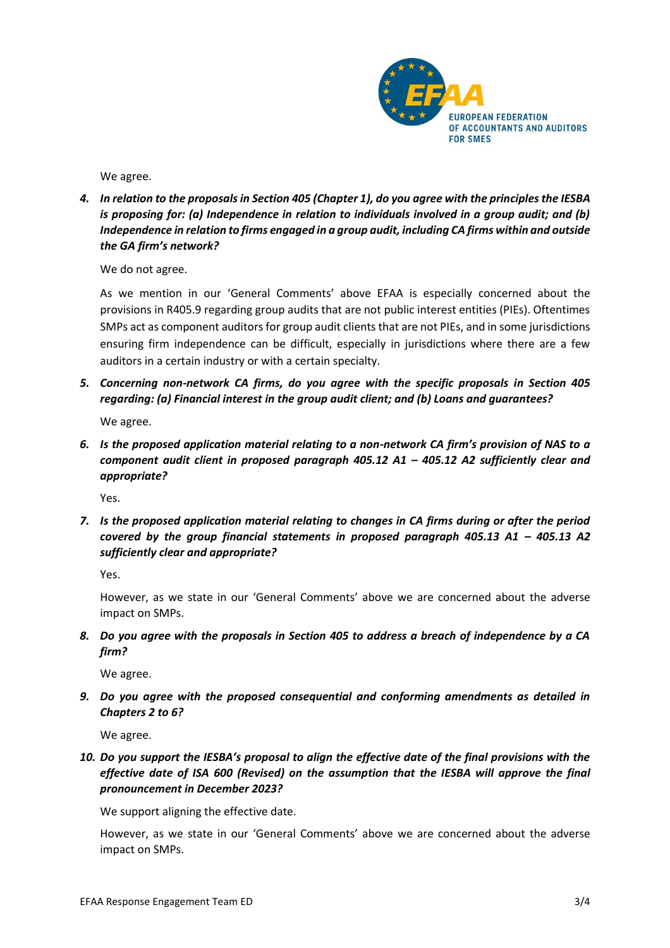

We agree.

*4. In relation to the proposals in Section 405 (Chapter 1), do you agree with the principles the IESBA is proposing for: (a) Independence in relation to individuals involved in a group audit; and (b) Independence in relation to firms engaged in a group audit, including CA firms within and outside the GA firm's network?*

We do not agree.

As we mention in our 'General Comments' above EFAA is especially concerned about the provisions in R405.9 regarding group audits that are not public interest entities (PIEs). Oftentimes SMPs act as component auditors for group audit clients that are not PIEs, and in some jurisdictions ensuring firm independence can be difficult, especially in jurisdictions where there are a few auditors in a certain industry or with a certain specialty.

*5. Concerning non-network CA firms, do you agree with the specific proposals in Section 405 regarding: (a) Financial interest in the group audit client; and (b) Loans and guarantees?*

We agree.

*6. Is the proposed application material relating to a non-network CA firm's provision of NAS to a component audit client in proposed paragraph 405.12 A1 – 405.12 A2 sufficiently clear and appropriate?*

Yes.

*7. Is the proposed application material relating to changes in CA firms during or after the period covered by the group financial statements in proposed paragraph 405.13 A1 – 405.13 A2 sufficiently clear and appropriate?*

Yes.

However, as we state in our 'General Comments' above we are concerned about the adverse impact on SMPs.

*8. Do you agree with the proposals in Section 405 to address a breach of independence by a CA firm?*

We agree.

*9. Do you agree with the proposed consequential and conforming amendments as detailed in Chapters 2 to 6?*

We agree.

*10. Do you support the IESBA's proposal to align the effective date of the final provisions with the effective date of ISA 600 (Revised) on the assumption that the IESBA will approve the final pronouncement in December 2023?*

We support aligning the effective date.

However, as we state in our 'General Comments' above we are concerned about the adverse impact on SMPs.